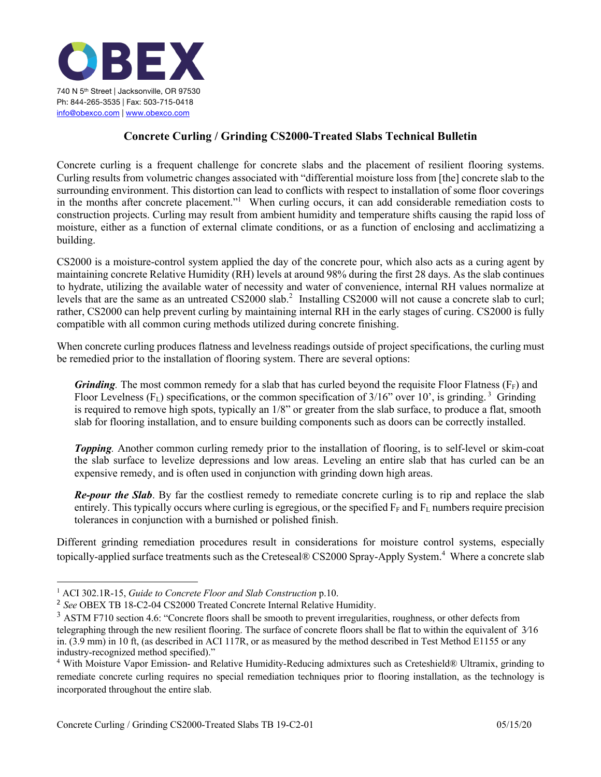

## **Concrete Curling / Grinding CS2000-Treated Slabs Technical Bulletin**

Concrete curling is a frequent challenge for concrete slabs and the placement of resilient flooring systems. Curling results from volumetric changes associated with "differential moisture loss from [the] concrete slab to the surrounding environment. This distortion can lead to conflicts with respect to installation of some floor coverings in the months after concrete placement."<sup>1</sup> When curling occurs, it can add considerable remediation costs to construction projects. Curling may result from ambient humidity and temperature shifts causing the rapid loss of moisture, either as a function of external climate conditions, or as a function of enclosing and acclimatizing a building.

CS2000 is a moisture-control system applied the day of the concrete pour, which also acts as a curing agent by maintaining concrete Relative Humidity (RH) levels at around 98% during the first 28 days. As the slab continues to hydrate, utilizing the available water of necessity and water of convenience, internal RH values normalize at levels that are the same as an untreated CS2000 slab.<sup>2</sup> Installing CS2000 will not cause a concrete slab to curl; rather, CS2000 can help prevent curling by maintaining internal RH in the early stages of curing. CS2000 is fully compatible with all common curing methods utilized during concrete finishing.

When concrete curling produces flatness and levelness readings outside of project specifications, the curling must be remedied prior to the installation of flooring system. There are several options:

*Grinding*. The most common remedy for a slab that has curled beyond the requisite Floor Flatness ( $F_F$ ) and Floor Levelness ( $F_L$ ) specifications, or the common specification of  $3/16$ " over 10', is grinding.<sup>3</sup> Grinding is required to remove high spots, typically an 1/8" or greater from the slab surface, to produce a flat, smooth slab for flooring installation, and to ensure building components such as doors can be correctly installed.

*Topping.* Another common curling remedy prior to the installation of flooring, is to self-level or skim-coat the slab surface to levelize depressions and low areas. Leveling an entire slab that has curled can be an expensive remedy, and is often used in conjunction with grinding down high areas.

*Re-pour the Slab*. By far the costliest remedy to remediate concrete curling is to rip and replace the slab entirely. This typically occurs where curling is egregious, or the specified  $F_F$  and  $F_L$  numbers require precision tolerances in conjunction with a burnished or polished finish.

Different grinding remediation procedures result in considerations for moisture control systems, especially topically-applied surface treatments such as the Creteseal® CS2000 Spray-Apply System. <sup>4</sup> Where a concrete slab

<sup>1</sup> ACI 302.1R-15, *Guide to Concrete Floor and Slab Construction* p.10.

<sup>2</sup> *See* OBEX TB 18-C2-04 CS2000 Treated Concrete Internal Relative Humidity.

 $3$  ASTM F710 section 4.6: "Concrete floors shall be smooth to prevent irregularities, roughness, or other defects from telegraphing through the new resilient flooring. The surface of concrete floors shall be flat to within the equivalent of 3⁄16 in. (3.9 mm) in 10 ft, (as described in ACI 117R, or as measured by the method described in Test Method E1155 or any industry-recognized method specified)."

<sup>4</sup> With Moisture Vapor Emission- and Relative Humidity-Reducing admixtures such as Creteshield® Ultramix, grinding to remediate concrete curling requires no special remediation techniques prior to flooring installation, as the technology is incorporated throughout the entire slab.